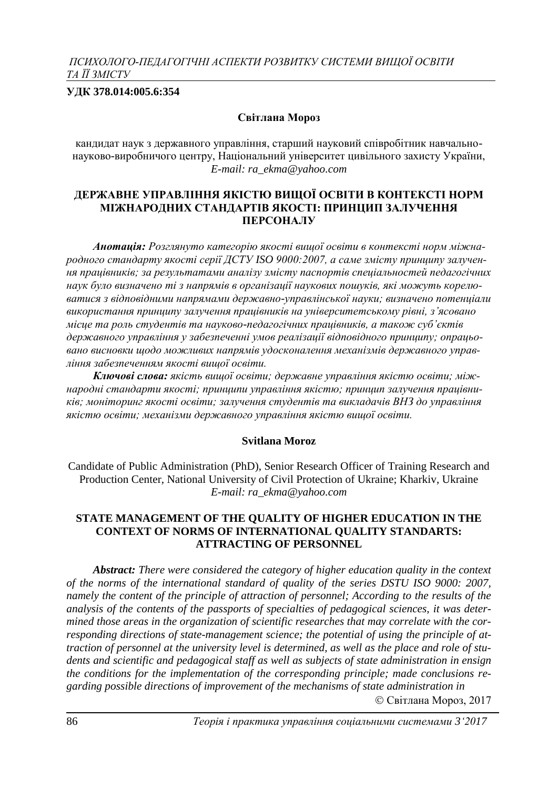#### **УДК 378.014:005.6:354**

#### **Світлана Мороз**

кандидат наук з державного управління, старший науковий співробітник навчальнонауково-виробничого центру, Національний університет цивільного захисту України, *E-mail: ra\_ekma@yahoo.com*

### **ДЕРЖАВНЕ УПРАВЛІННЯ ЯКІСТЮ ВИЩОЇ ОСВІТИ В КОНТЕКСТІ НОРМ МІЖНАРОДНИХ СТАНДАРТІВ ЯКОСТІ: ПРИНЦИП ЗАЛУЧЕННЯ ПЕРСОНАЛУ**

*Анотація: Розглянуто категорію якості вищої освіти в контексті норм міжнародного стандарту якості серії ДСТУ ISO 9000:2007, а саме змісту принципу залучення працівників; за результатами аналізу змісту паспортів спеціальностей педагогічних наук було визначено ті з напрямів в організації наукових пошуків, які можуть корелюватися з відповідними напрямами державно-управлінської науки; визначено потенціали використання принципу залучення працівників на університетському рівні, з'ясовано місце та роль студентів та науково-педагогічних працівників, а також суб'єктів державного управління у забезпеченні умов реалізації відповідного принципу; опрацьовано висновки щодо можливих напрямів удосконалення механізмів державного управління забезпеченням якості вищої освіти.*

*Ключові слова: якість вищої освіти; державне управління якістю освіти; міжнародні стандарти якості; принципи управління якістю; принцип залучення працівників; моніторинг якості освіти; залучення студентів та викладачів ВНЗ до управління якістю освіти; механізми державного управління якістю вищої освіти.*

#### **Svitlana Moroz**

Candidate of Public Administration (PhD), Senior Research Officer of Training Research and Production Center, National University of Civil Protection of Ukraine; Kharkiv, Ukraine *E-mail: ra\_ekma@yahoo.com*

#### **STATE MANAGEMENT OF THE QUALITY OF HIGHER EDUCATION IN THE CONTEXT OF NORMS OF INTERNATIONAL QUALITY STANDARTS: ATTRACTING OF PERSONNEL**

*Abstract: There were considered the category of higher education quality in the context of the norms of the international standard of quality of the series DSTU ISO 9000: 2007, namely the content of the principle of attraction of personnel; According to the results of the analysis of the contents of the passports of specialties of pedagogical sciences, it was determined those areas in the organization of scientific researches that may correlate with the corresponding directions of state-management science; the potential of using the principle of attraction of personnel at the university level is determined, as well as the place and role of students and scientific and pedagogical staff as well as subjects of state administration in ensign the conditions for the implementation of the corresponding principle; made conclusions regarding possible directions of improvement of the mechanisms of state administration in*

Світлана Мороз, 2017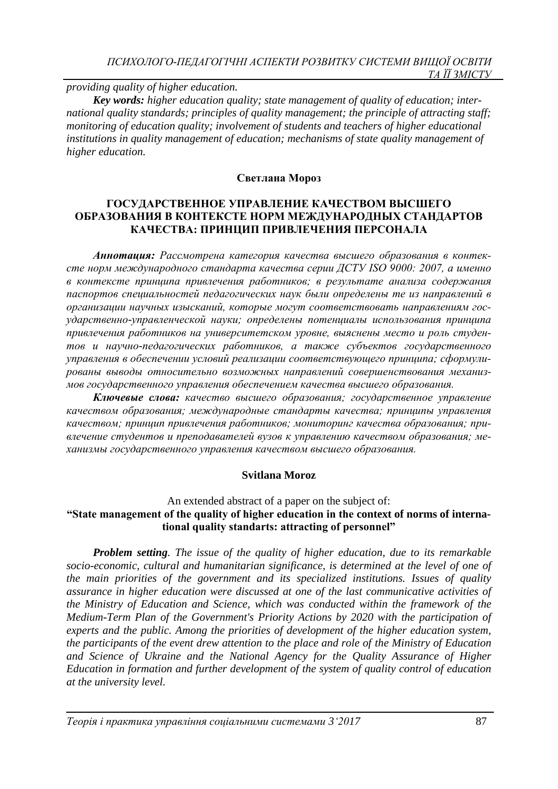*providing quality of higher education.*

*Key words: higher education quality; state management of quality of education; international quality standards; principles of quality management; the principle of attracting staff; monitoring of education quality; involvement of students and teachers of higher educational institutions in quality management of education; mechanisms of state quality management of higher education.*

## **Светлана Мороз**

## **ГОСУДАРСТВЕННОЕ УПРАВЛЕНИЕ КАЧЕСТВОМ ВЫСШЕГО ОБРАЗОВАНИЯ В КОНТЕКСТЕ НОРМ МЕЖДУНАРОДНЫХ СТАНДАРТОВ КАЧЕСТВА: ПРИНЦИП ПРИВЛЕЧЕНИЯ ПЕРСОНАЛА**

*Аннотация: Рассмотрена категория качества высшего образования в контексте норм международного стандарта качества серии ДСТУ ISO 9000: 2007, а именно в контексте принципа привлечения работников; в результате анализа содержания паспортов специальностей педагогических наук были определены те из направлений в организации научных изысканий, которые могут соответствовать направлениям государственно-управленческой науки; определены потенциалы использования принципа привлечения работников на университетском уровне, выяснены место и роль студентов и научно-педагогических работников, а также субъектов государственного управления в обеспечении условий реализации соответствующего принципа; сформулированы выводы относительно возможных направлений совершенствования механизмов государственного управления обеспечением качества высшего образования.*

*Ключевые слова: качество высшего образования; государственное управление качеством образования; международные стандарты качества; принципы управления качеством; принцип привлечения работников; мониторинг качества образования; привлечение студентов и преподавателей вузов к управлению качеством образования; механизмы государственного управления качеством высшего образования.*

## **Svitlana Moroz**

#### An extended abstract of a paper on the subject of: **"State management of the quality of higher education in the context of norms of international quality standarts: attracting of personnel"**

*Problem setting. The issue of the quality of higher education, due to its remarkable socio-economic, cultural and humanitarian significance, is determined at the level of one of the main priorities of the government and its specialized institutions. Issues of quality assurance in higher education were discussed at one of the last communicative activities of the Ministry of Education and Science, which was conducted within the framework of the Medium-Term Plan of the Government's Priority Actions by 2020 with the participation of experts and the public. Among the priorities of development of the higher education system, the participants of the event drew attention to the place and role of the Ministry of Education and Science of Ukraine and the National Agency for the Quality Assurance of Higher Education in formation and further development of the system of quality control of education at the university level.*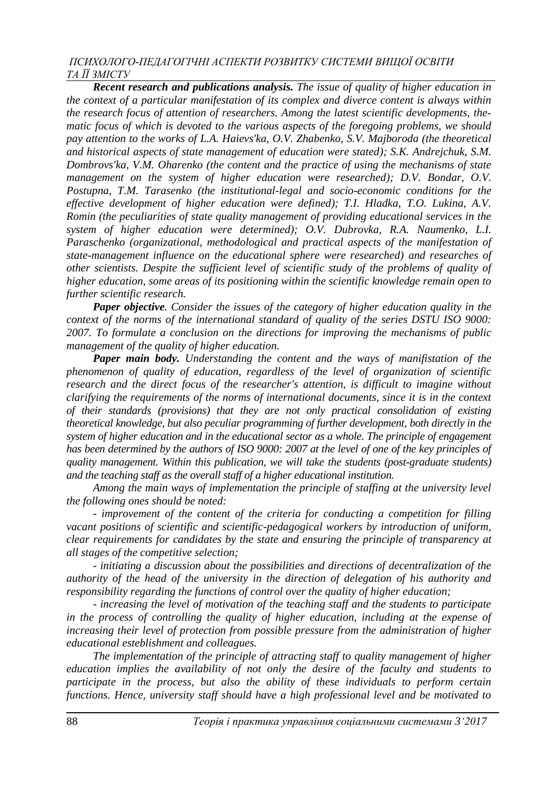*Recent research and publications analysis. The issue of quality of higher education in the context of a particular manifestation of its complex and diverce content is always within the research focus of attention of researchers. Among the latest scientific developments, thematic focus of which is devoted to the various aspects of the foregoing problems, we should pay attention to the works of L.A. Haievs'ka, O.V. Zhabenko, S.V. Majboroda (the theoretical and historical aspects of state management of education were stated); S.K. Andrejchuk, S.M. Dombrovs'ka, V.M. Oharenko (the content and the practice of using the mechanisms of state management on the system of higher education were researched); D.V. Bondar, O.V. Postupna, T.M. Tarasenko (the institutional-legal and socio-economic conditions for the effective development of higher education were defined); T.I. Hladka, T.O. Lukina, A.V. Romin (the peculiarities of state quality management of providing educational services in the system of higher education were determined); O.V. Dubrovka, R.A. Naumenko, L.I. Paraschenko (organizational, methodological and practical aspects of the manifestation of state-management influence on the educational sphere were researched) and researches of other scientists. Despite the sufficient level of scientific study of the problems of quality of higher education, some areas of its positioning within the scientific knowledge remain open to further scientific research.*

*Paper objective. Consider the issues of the category of higher education quality in the context of the norms of the international standard of quality of the series DSTU ISO 9000: 2007. To formulate a conclusion on the directions for improving the mechanisms of public management of the quality of higher education.*

*Paper main body. Understanding the content and the ways of manifistation of the phenomenon of quality of education, regardless of the level of organization of scientific research and the direct focus of the researcher's attention, is difficult to imagine without clarifying the requirements of the norms of international documents, since it is in the context of their standards (provisions) that they are not only practical consolidation of existing theoretical knowledge, but also peculiar programming of further development, both directly in the system of higher education and in the educational sector as a whole. The principle of engagement has been determined by the authors of ISO 9000: 2007 at the level of one of the key principles of quality management. Within this publication, we will take the students (post-graduate students) and the teaching staff as the overall staff of a higher educational institution.*

*Among the main ways of implementation the principle of staffing at the university level the following ones should be noted:*

*- improvement of the content of the criteria for conducting a competition for filling vacant positions of scientific and scientific-pedagogical workers by introduction of uniform, clear requirements for candidates by the state and ensuring the principle of transparency at all stages of the competitive selection;*

*- initiating a discussion about the possibilities and directions of decentralization of the authority of the head of the university in the direction of delegation of his authority and responsibility regarding the functions of control over the quality of higher education;*

*- increasing the level of motivation of the teaching staff and the students to participate in the process of controlling the quality of higher education, including at the expense of increasing their level of protection from possible pressure from the administration of higher educational esteblishment and colleagues.*

*The implementation of the principle of attracting staff to quality management of higher education implies the availability of not only the desire of the faculty and students to participate in the process, but also the ability of these individuals to perform certain functions. Hence, university staff should have a high professional level and be motivated to*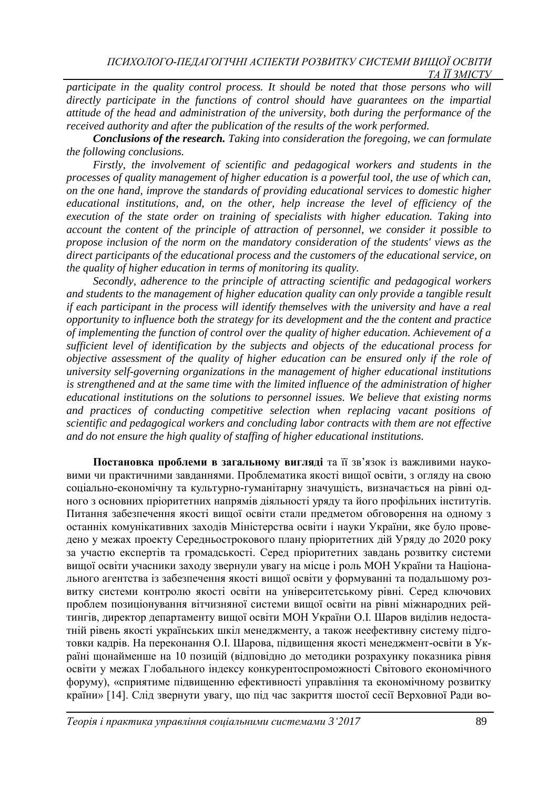*participate in the quality control process. It should be noted that those persons who will directly participate in the functions of control should have guarantees on the impartial attitude of the head and administration of the university, both during the performance of the received authority and after the publication of the results of the work performed.*

*Conclusions of the research. Taking into consideration the foregoing, we can formulate the following conclusions.*

*Firstly, the involvement of scientific and pedagogical workers and students in the processes of quality management of higher education is a powerful tool, the use of which can, on the one hand, improve the standards of providing educational services to domestic higher educational institutions, and, on the other, help increase the level of efficiency of the execution of the state order on training of specialists with higher education. Taking into account the content of the principle of attraction of personnel, we consider it possible to propose inclusion of the norm on the mandatory consideration of the students' views as the direct participants of the educational process and the customers of the educational service, on the quality of higher education in terms of monitoring its quality.*

*Secondly, adherence to the principle of attracting scientific and pedagogical workers and students to the management of higher education quality can only provide a tangible result if each participant in the process will identify themselves with the university and have a real opportunity to influence both the strategy for its development and the the content and practice of implementing the function of control over the quality of higher education. Achievement of a sufficient level of identification by the subjects and objects of the educational process for objective assessment of the quality of higher education can be ensured only if the role of university self-governing organizations in the management of higher educational institutions is strengthened and at the same time with the limited influence of the administration of higher educational institutions on the solutions to personnel issues. We believe that existing norms and practices of conducting competitive selection when replacing vacant positions of scientific and pedagogical workers and concluding labor contracts with them are not effective and do not ensure the high quality of staffing of higher educational institutions.*

**Постановка проблеми в загальному вигляді** та її зв'язок із важливими науковими чи практичними завданнями. Проблематика якості вищої освіти, з огляду на свою соціально-економічну та культурно-гуманітарну значущість, визначається на рівні одного з основних пріоритетних напрямів діяльності уряду та його профільних інститутів. Питання забезпечення якості вищої освіти стали предметом обговорення на одному з останніх комунікативних заходів Міністерства освіти і науки України, яке було проведено у межах проекту Середньострокового плану пріоритетних дій Уряду до 2020 року за участю експертів та громадськості. Серед пріоритетних завдань розвитку системи вищої освіти учасники заходу звернули увагу на місце і роль МОН України та Національного агентства із забезпечення якості вищої освіти у формуванні та подальшому розвитку системи контролю якості освіти на університетському рівні. Серед ключових проблем позиціонування вітчизняної системи вищої освіти на рівні міжнародних рейтингів, директор департаменту вищої освіти МОН України О.І. Шаров виділив недостатній рівень якості українських шкіл менеджменту, а також неефективну систему підготовки кадрів. На переконання О.І. Шарова, підвищення якості менеджмент-освіти в Україні щонайменше на 10 позицій (відповідно до методики розрахунку показника рівня освіти у межах Глобального індексу конкурентоспроможності Світового економічного форуму), «сприятиме підвищенню ефективності управління та економічному розвитку країни» [14]. Слід звернути увагу, що під час закриття шостої сесії Верховної Ради во-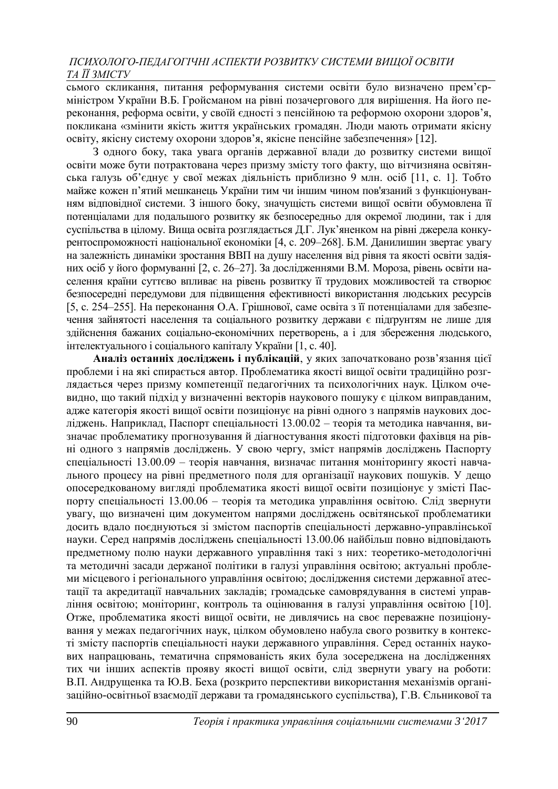сьмого скликання, питання реформування системи освіти було визначено прем'єрміністром України В.Б. Гройсманом на рівні позачергового для вирішення. На його переконання, реформа освіти, у своїй єдності з пенсійною та реформою охорони здоров'я, покликана «змінити якість життя українських громадян. Люди мають отримати якісну освіту, якісну систему охорони здоров'я, якісне пенсійне забезпечення» [12].

З одного боку, така увага органів державної влади до розвитку системи вищої освіти може бути потрактована через призму змісту того факту, що вітчизняна освітянська галузь об'єднує у свої межах діяльність приблизно 9 млн. осіб [11, с. 1]. Тобто майже кожен п'ятий мешканець України тим чи іншим чином пов'язаний з функціонуванням відповідної системи. З іншого боку, значущість системи вищої освіти обумовлена її потенціалами для подальшого розвитку як безпосередньо для окремої людини, так і для суспільства в цілому. Вища освіта розглядається Д.Г. Лук'яненком на рівні джерела конкурентоспроможності національної економіки [4, с. 209–268]. Б.М. Данилишин звертає увагу на залежність динаміки зростання ВВП на душу населення від рівня та якості освіти задіяних осіб у його формуванні [2, с. 26–27]. За дослідженнями В.М. Мороза, рівень освіти населення країни суттєво впливає на рівень розвитку її трудових можливостей та створює безпосередні передумови для підвищення ефективності використання людських ресурсів [5, с. 254–255]. На переконання О.А. Грішнової, саме освіта з її потенціалами для забезпечення зайнятості населення та соціального розвитку держави є підґрунтям не лише для здійснення бажаних соціально-економічних перетворень, а і для збереження людського, інтелектуального і соціального капіталу України [1, с. 40].

**Аналіз останніх досліджень і публікацій**, у яких започатковано розв'язання цієї проблеми і на які спирається автор. Проблематика якості вищої освіти традиційно розглядається через призму компетенції педагогічних та психологічних наук. Цілком очевидно, що такий підхід у визначенні векторів наукового пошуку є цілком виправданим, адже категорія якості вищої освіти позиціонує на рівні одного з напрямів наукових досліджень. Наприклад, Паспорт спеціальності 13.00.02 – теорія та методика навчання, визначає проблематику прогнозування й діагностування якості підготовки фахівця на рівні одного з напрямів досліджень. У свою чергу, зміст напрямів досліджень Паспорту спеціальності 13.00.09 – теорія навчання, визначає питання моніторингу якості навчального процесу на рівні предметного поля для організації наукових пошуків. У дещо опосередкованому вигляді проблематика якості вищої освіти позиціонує у змісті Паспорту спеціальності 13.00.06 – теорія та методика управління освітою. Слід звернути увагу, що визначені цим документом напрями досліджень освітянської проблематики досить вдало поєднуються зі змістом паспортів спеціальності державно-управлінської науки. Серед напрямів досліджень спеціальності 13.00.06 найбільш повно відповідають предметному полю науки державного управління такі з них: теоретико-методологічні та методичні засади держаної політики в галузі управління освітою; актуальні проблеми місцевого і регіонального управління освітою; дослідження системи державної атестації та акредитації навчальних закладів; громадське самоврядування в системі управління освітою; моніторинг, контроль та оцінювання в галузі управління освітою [10]. Отже, проблематика якості вищої освіти, не дивлячись на своє переважне позиціонування у межах педагогічних наук, цілком обумовлено набула свого розвитку в контексті змісту паспортів спеціальності науки державного управління. Серед останніх наукових напрацювань, тематична спрямованість яких була зосереджена на дослідженнях тих чи інших аспектів прояву якості вищої освіти, слід звернути увагу на роботи: В.П. Андрущенка та Ю.В. Беха (розкрито перспективи використання механізмів організаційно-освітньої взаємодії держави та громадянського суспільства), Г.В. Єльникової та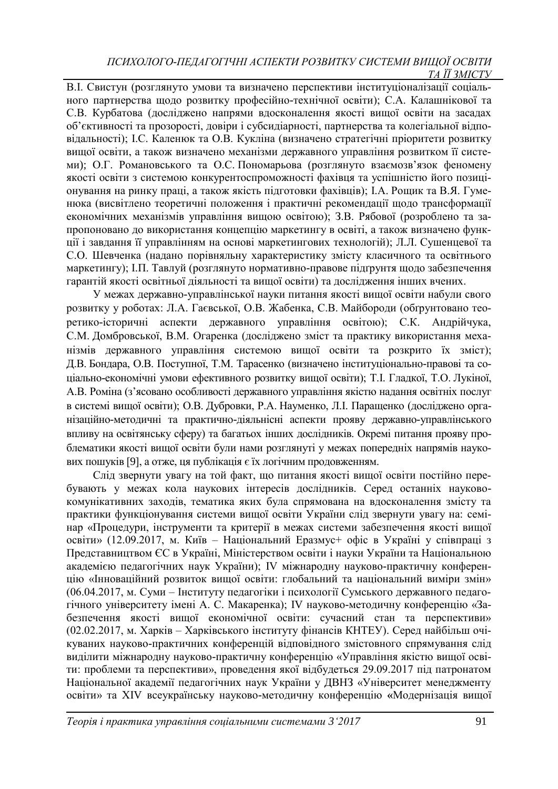В.І. Свистун (розглянуто умови та визначено перспективи інституціоналізації соціального партнерства щодо розвитку професійно-технічної освіти); С.А. Калашнікової та С.В. Курбатова (досліджено напрями вдосконалення якості вищої освіти на засадах об'єктивності та прозорості, довіри і субсидіарності, партнерства та колегіальної відповідальності); І.С. Каленюк та О.В. Кукліна (визначено стратегічні пріоритети розвитку вищої освіти, а також визначено механізми державного управління розвитком її системи); О.Г. Романовського та О.С. Пономарьова (розглянуто взаємозв'язок феномену якості освіти з системою конкурентоспроможності фахівця та успішністю його позиціонування на ринку праці, а також якість підготовки фахівців); І.А. Рощик та В.Я. Гуменюка (висвітлено теоретичні положення і практичні рекомендації щодо трансформації економічних механізмів управління вищою освітою); З.В. Рябової (розроблено та запропоновано до використання концепцію маркетингу в освіті, а також визначено функції і завдання її управлінням на основі маркетингових технологій); Л.Л. Сушенцевої та С.О. Шевченка (надано порівняльну характеристику змісту класичного та освітнього маркетингу); І.П. Тавлуй (розглянуто нормативно-правове підґрунтя щодо забезпечення гарантій якості освітньої діяльності та вищої освіти) та дослідження інших вчених.

У межах державно-управлінської науки питання якості вищої освіти набули свого розвитку у роботах: Л.А. Гаєвської, О.В. Жабенка, С.В. Майбороди (обґрунтовано теоретико-історичні аспекти державного управління освітою); С.К. Андрійчука, С.М. Домбровської, В.М. Огаренка (досліджено зміст та практику використання механізмів державного управління системою вищої освіти та розкрито їх зміст); Д.В. Бондара, О.В. Поступної, Т.М. Тарасенко (визначено інституціонально-правові та соціально-економічні умови ефективного розвитку вищої освіти); Т.І. Гладкої, Т.О. Лукіної, А.В. Роміна (з'ясовано особливості державного управління якістю надання освітніх послуг в системі вищої освіти); О.В. Дубровки, Р.А. Науменко, Л.І. Паращенко (досліджено організаційно-методичні та практично-діяльнісні аспекти прояву державно-управлінського впливу на освітянську сферу) та багатьох інших дослідників. Окремі питання прояву проблематики якості вищої освіти були нами розглянуті у межах попередніх напрямів наукових пошуків [9], а отже, ця публікація є їх логічним продовженням.

Слід звернути увагу на той факт, що питання якості вищої освіти постійно перебувають у межах кола наукових інтересів дослідників. Серед останніх науковокомунікативних заходів, тематика яких була спрямована на вдосконалення змісту та практики функціонування системи вищої освіти України слід звернути увагу на: семінар «Процедури, інструменти та критерії в межах системи забезпечення якості вищої освіти» (12.09.2017, м. Київ – Національний Еразмус+ офіс в Україні у співпраці з Представництвом ЄС в Україні, Міністерством освіти і науки України та Національною академією педагогічних наук України); IV міжнародну науково-практичну конференцію «Інноваційний розвиток вищої освіти: глобальний та національний виміри змін» (06.04.2017, м. Суми – Інституту педагогіки і психології Сумського державного педагогічного університету імені А. С. Макаренка); IV науково-методичну конференцію «Забезпечення якості вищої економічної освіти: сучасний стан та перспективи» (02.02.2017, м. Харків – Харківського інституту фінансів КНТЕУ). Серед найбільш очікуваних науково-практичних конференцій відповідного змістовного спрямування слід виділити міжнародну науково-практичну конференцію «Управління якістю вищої освіти: проблеми та перспективи», проведення якої відбудеться 29.09.2017 під патронатом Національної академії педагогічних наук України у ДВНЗ «Університет менеджменту освіти» та ХІV всеукраїнську науково-методичну конференцію **«**Модернізація вищої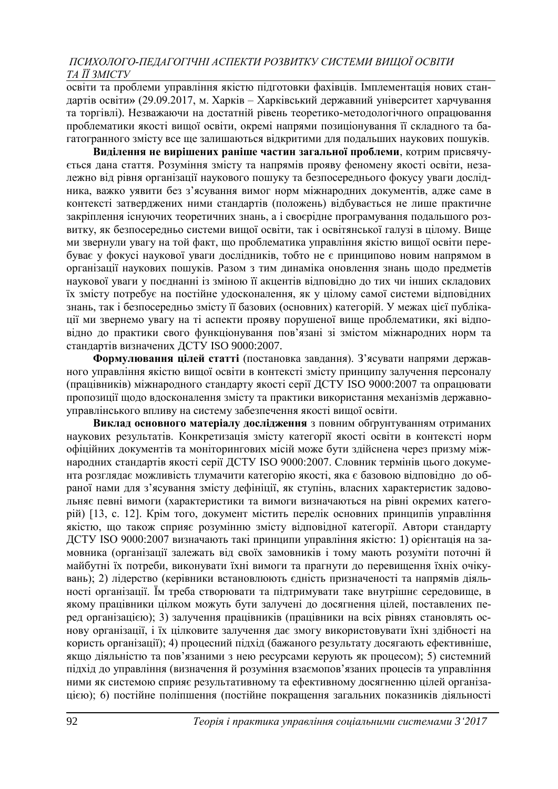освіти та проблеми управління якістю підготовки фахівців. Імплементація нових стандартів освіти**»** (29.09.2017, м. Харків – Харківський державний університет харчування та торгівлі). Незважаючи на достатній рівень теоретико-методологічного опрацювання проблематики якості вищої освіти, окремі напрями позиціонування її складного та багатогранного змісту все ще залишаються відкритими для подальших наукових пошуків.

**Виділення не вирішених раніше частин загальної проблеми**, котрим присвячується дана стаття. Розуміння змісту та напрямів прояву феномену якості освіти, незалежно від рівня організації наукового пошуку та безпосереднього фокусу уваги дослідника, важко уявити без з'ясування вимог норм міжнародних документів, адже саме в контексті затверджених ними стандартів (положень) відбувається не лише практичне закріплення існуючих теоретичних знань, а і своєрідне програмування подальшого розвитку, як безпосередньо системи вищої освіти, так і освітянської галузі в цілому. Вище ми звернули увагу на той факт, що проблематика управління якістю вищої освіти перебуває у фокусі наукової уваги дослідників, тобто не є принципово новим напрямом в організації наукових пошуків. Разом з тим динаміка оновлення знань щодо предметів наукової уваги у поєднанні із зміною її акцентів відповідно до тих чи інших складових їх змісту потребує на постійне удосконалення, як у цілому самої системи відповідних знань, так і безпосередньо змісту її базових (основних) категорій. У межах цієї публікації ми звернемо увагу на ті аспекти прояву порушеної вище проблематики, які відповідно до практики свого функціонування пов'язані зі змістом міжнародних норм та стандартів визначених ДСТУ ISO 9000:2007.

**Формулювання цілей статті** (постановка завдання). З'ясувати напрями державного управління якістю вищої освіти в контексті змісту принципу залучення персоналу (працівників) міжнародного стандарту якості серії ДСТУ ISO 9000:2007 та опрацювати пропозиції щодо вдосконалення змісту та практики використання механізмів державноуправлінського впливу на систему забезпечення якості вищої освіти.

**Виклад основного матеріалу дослідження** з повним обґрунтуванням отриманих наукових результатів. Конкретизація змісту категорії якості освіти в контексті норм офіційних документів та моніторингових місій може бути здійснена через призму міжнародних стандартів якості серії ДСТУ ISO 9000:2007. Словник термінів цього документа розглядає можливість тлумачити категорію якості, яка є базовою відповідно до обраної нами для з'ясування змісту дефініції, як ступінь, власних характеристик задовольняє певні вимоги (характеристики та вимоги визначаються на рівні окремих категорій) [13, с. 12]. Крім того, документ містить перелік основних принципів управління якістю, що також сприяє розумінню змісту відповідної категорії. Автори стандарту ДСТУ ISO 9000:2007 визначають такі принципи управління якістю: 1) орієнтація на замовника (організації залежать від своїх замовників і тому мають розуміти поточні й майбутні їх потреби, виконувати їхні вимоги та прагнути до перевищення їхніх очікувань); 2) лідерство (керівники встановлюють єдність призначеності та напрямів діяльності організації. Їм треба створювати та підтримувати таке внутрішнє середовище, в якому працівники цілком можуть бути залучені до досягнення цілей, поставлених перед організацією); 3) залучення працівників (працівники на всіх рівнях становлять основу організації, і їх цілковите залучення дає змогу використовувати їхні здібності на користь організації); 4) процесний підхід (бажаного результату досягають ефективніше, якщо діяльністю та пов'язаними з нею ресурсами керують як процесом); 5) системний підхід до управління (визначення й розуміння взаємопов'язаних процесів та управління ними як системою сприяє результативному та ефективному досягненню цілей організацією); 6) постійне поліпшення (постійне покращення загальних показників діяльності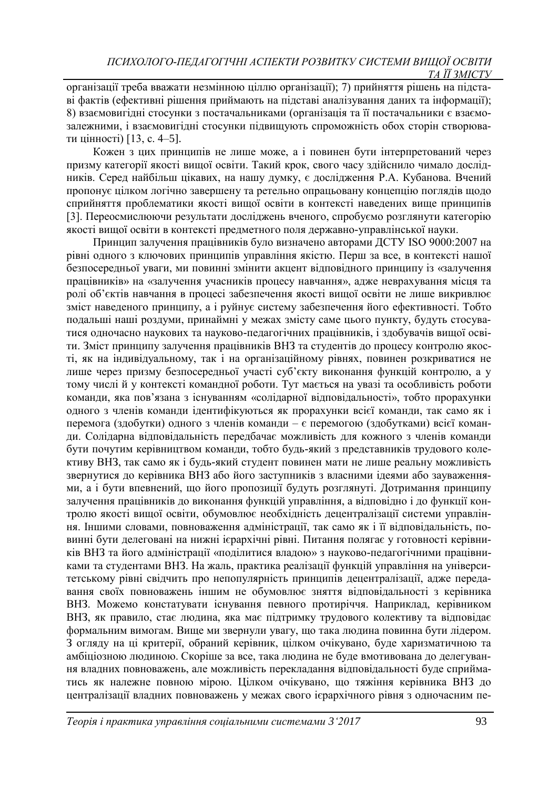організації треба вважати незмінною ціллю організації); 7) прийняття рішень на підставі фактів (ефективні рішення приймають на підставі аналізування даних та інформації); 8) взаємовигідні стосунки з постачальниками (організація та її постачальники є взаємозалежними, і взаємовигідні стосунки підвищують спроможність обох сторін створювати цінності) [13, с. 4–5].

Кожен з цих принципів не лише може, а і повинен бути інтерпретований через призму категорії якості вищої освіти. Такий крок, свого часу здійснило чимало дослідників. Серед найбільш цікавих, на нашу думку, є дослідження Р.А. Кубанова. Вчений пропонує цілком логічно завершену та ретельно опрацьовану концепцію поглядів щодо сприйняття проблематики якості вищої освіти в контексті наведених вище принципів [3]. Переосмислюючи результати досліджень вченого, спробуємо розглянути категорію якості вищої освіти в контексті предметного поля державно-управлінської науки.

Принцип залучення працівників було визначено авторами ДСТУ ISO 9000:2007 на рівні одного з ключових принципів управління якістю. Перш за все, в контексті нашої безпосередньої уваги, ми повинні змінити акцент відповідного принципу із «залучення працівників» на «залучення учасників процесу навчання», адже неврахування місця та ролі об'єктів навчання в процесі забезпечення якості вищої освіти не лише викривлює зміст наведеного принципу, а і руйнує систему забезпечення його ефективності. Тобто подальші наші роздуми, принаймні у межах змісту саме цього пункту, будуть стосуватися одночасно наукових та науково-педагогічних працівників, і здобувачів вищої освіти. Зміст принципу залучення працівників ВНЗ та студентів до процесу контролю якості, як на індивідуальному, так і на організаційному рівнях, повинен розкриватися не лише через призму безпосередньої участі суб'єкту виконання функцій контролю, а у тому числі й у контексті командної роботи. Тут мається на увазі та особливість роботи команди, яка пов'язана з існуванням «солідарної відповідальності», тобто прорахунки одного з членів команди ідентифікуються як прорахунки всієї команди, так само як і перемога (здобутки) одного з членів команди – є перемогою (здобутками) всієї команди. Солідарна відповідальність передбачає можливість для кожного з членів команди бути почутим керівництвом команди, тобто будь-який з представників трудового колективу ВНЗ, так само як і будь-який студент повинен мати не лише реальну можливість звернутися до керівника ВНЗ або його заступників з власними ідеями або зауваженнями, а і бути впевнений, що його пропозиції будуть розглянуті. Дотримання принципу залучення працівників до виконання функцій управління, а відповідно і до функції контролю якості вищої освіти, обумовлює необхідність децентралізації системи управління. Іншими словами, повноваження адміністрації, так само як і її відповідальність, повинні бути делеговані на нижні ієрархічні рівні. Питання полягає у готовності керівників ВНЗ та його адміністрації «поділитися владою» з науково-педагогічними працівниками та студентами ВНЗ. На жаль, практика реалізації функцій управління на університетському рівні свідчить про непопулярність принципів децентралізації, адже передавання своїх повноважень іншим не обумовлює зняття відповідальності з керівника ВНЗ. Можемо констатувати існування певного протиріччя. Наприклад, керівником ВНЗ, як правило, стає людина, яка має підтримку трудового колективу та відповідає формальним вимогам. Вище ми звернули увагу, що така людина повинна бути лідером. З огляду на ці критерії, обраний керівник, цілком очікувано, буде харизматичною та амбіціозною людиною. Скоріше за все, така людина не буде вмотивована до делегування владних повноважень, але можливість перекладання відповідальності буде сприйматись як належне повною мірою. Цілком очікувано, що тяжіння керівника ВНЗ до централізації владних повноважень у межах свого ієрархічного рівня з одночасним пе-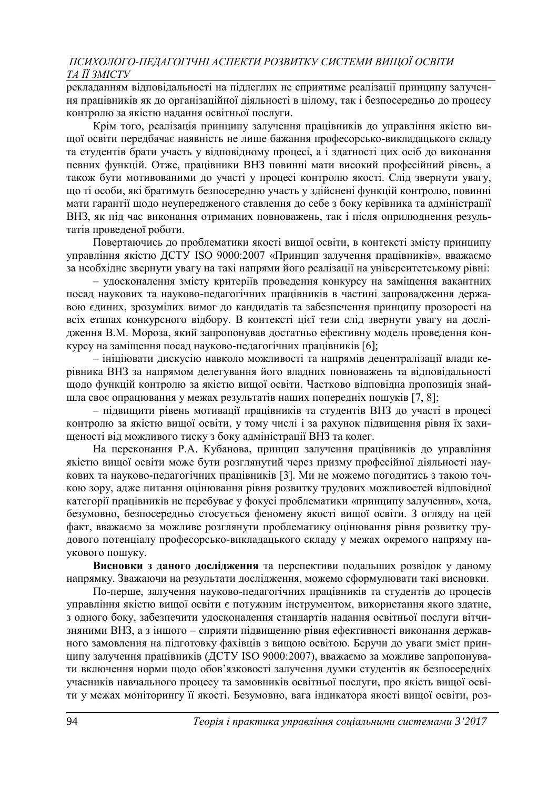рекладанням відповідальності на підлеглих не сприятиме реалізації принципу залучення працівників як до організаційної діяльності в цілому, так і безпосередньо до процесу контролю за якістю надання освітньої послуги.

Крім того, реалізація принципу залучення працівників до управління якістю вищої освіти передбачає наявність не лише бажання професорсько-викладацького складу та студентів брати участь у відповідному процесі, а і здатності цих осіб до виконання певних функцій. Отже, працівники ВНЗ повинні мати високий професійний рівень, а також бути мотивованими до участі у процесі контролю якості. Слід звернути увагу, що ті особи, які братимуть безпосередню участь у здійснені функцій контролю, повинні мати гарантії щодо неупередженого ставлення до себе з боку керівника та адміністрації ВНЗ, як під час виконання отриманих повноважень, так і після оприлюднення результатів проведеної роботи.

Повертаючись до проблематики якості вищої освіти, в контексті змісту принципу управління якістю ДСТУ ISO 9000:2007 «Принцип залучення працівників», вважаємо за необхідне звернути увагу на такі напрями його реалізації на університетському рівні:

– удосконалення змісту критеріїв проведення конкурсу на заміщення вакантних посад наукових та науково-педагогічних працівників в частині запровадження державою єдиних, зрозумілих вимог до кандидатів та забезпечення принципу прозорості на всіх етапах конкурсного відбору. В контексті цієї тези слід звернути увагу на дослідження В.М. Мороза, який запропонував достатньо ефективну модель проведення конкурсу на заміщення посад науково-педагогічних працівників [6];

– ініціювати дискусію навколо можливості та напрямів децентралізації влади керівника ВНЗ за напрямом делегування його владних повноважень та відповідальності щодо функцій контролю за якістю вищої освіти. Частково відповідна пропозиція знайшла своє опрацювання у межах результатів наших попередніх пошуків [7, 8];

– підвищити рівень мотивації працівників та студентів ВНЗ до участі в процесі контролю за якістю вищої освіти, у тому числі і за рахунок підвищення рівня їх захищеності від можливого тиску з боку адміністрації ВНЗ та колег.

На переконання Р.А. Кубанова, принцип залучення працівників до управління якістю вищої освіти може бути розглянутий через призму професійної діяльності наукових та науково-педагогічних працівників [3]. Ми не можемо погодитись з такою точкою зору, адже питання оцінювання рівня розвитку трудових можливостей відповідної категорії працівників не перебуває у фокусі проблематики «принципу залучення», хоча, безумовно, безпосередньо стосується феномену якості вищої освіти. З огляду на цей факт, вважаємо за можливе розглянути проблематику оцінювання рівня розвитку трудового потенціалу професорсько-викладацького складу у межах окремого напряму наукового пошуку.

**Висновки з даного дослідження** та перспективи подальших розвідок у даному напрямку. Зважаючи на результати дослідження, можемо сформулювати такі висновки.

По-перше, залучення науково-педагогічних працівників та студентів до процесів управління якістю вищої освіти є потужним інструментом, використання якого здатне, з одного боку, забезпечити удосконалення стандартів надання освітньої послуги вітчизняними ВНЗ, а з іншого – сприяти підвищенню рівня ефективності виконання державного замовлення на підготовку фахівців з вищою освітою. Беручи до уваги зміст принципу залучення працівників (ДСТУ ISO 9000:2007), вважаємо за можливе запропонувати включення норми щодо обов'язковості залучення думки студентів як безпосередніх учасників навчального процесу та замовників освітньої послуги, про якість вищої освіти у межах моніторингу її якості. Безумовно, вага індикатора якості вищої освіти, роз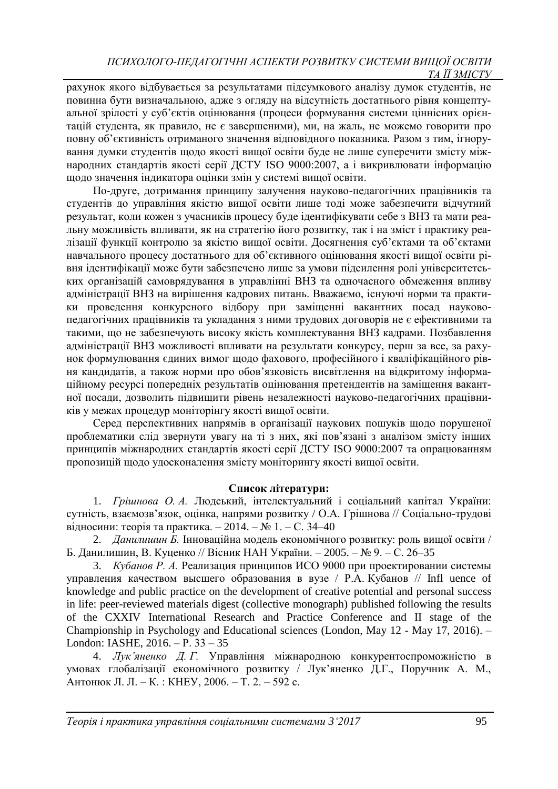рахунок якого відбувається за результатами підсумкового аналізу думок студентів, не повинна бути визначальною, адже з огляду на відсутність достатнього рівня концептуальної зрілості у суб'єктів оцінювання (процеси формування системи ціннісних орієнтацій студента, як правило, не є завершеними), ми, на жаль, не можемо говорити про повну об'єктивність отриманого значення відповідного показника. Разом з тим, ігнорування думки студентів щодо якості вищої освіти буде не лише суперечити змісту міжнародних стандартів якості серії ДСТУ ISO 9000:2007, а і викривлювати інформацію щодо значення індикатора оцінки змін у системі вищої освіти.

По-друге, дотримання принципу залучення науково-педагогічних працівників та студентів до управління якістю вищої освіти лише тоді може забезпечити відчутний результат, коли кожен з учасників процесу буде ідентифікувати себе з ВНЗ та мати реальну можливість впливати, як на стратегію його розвитку, так і на зміст і практику реалізації функції контролю за якістю вищої освіти. Досягнення суб'єктами та об'єктами навчального процесу достатнього для об'єктивного оцінювання якості вищої освіти рівня ідентифікації може бути забезпечено лише за умови підсилення ролі університетських організацій самоврядування в управлінні ВНЗ та одночасного обмеження впливу адміністрації ВНЗ на вирішення кадрових питань. Вважаємо, існуючі норми та практики проведення конкурсного відбору при заміщенні вакантних посад науковопедагогічних працівників та укладання з ними трудових договорів не є ефективними та такими, що не забезпечують високу якість комплектування ВНЗ кадрами. Позбавлення адміністрації ВНЗ можливості впливати на результати конкурсу, перш за все, за рахунок формулювання єдиних вимог щодо фахового, професійного і кваліфікаційного рівня кандидатів, а також норми про обов'язковість висвітлення на відкритому інформаційному ресурсі попередніх результатів оцінювання претендентів на заміщення вакантної посади, дозволить підвищити рівень незалежності науково-педагогічних працівників у межах процедур моніторінгу якості вищої освіти.

Серед перспективних напрямів в організації наукових пошуків щодо порушеної проблематики слід звернути увагу на ті з них, які пов'язані з аналізом змісту інших принципів міжнародних стандартів якості серії ДСТУ ISO 9000:2007 та опрацюванням пропозицій щодо удосконалення змісту моніторингу якості вищої освіти.

# **Список літератури:**

1. *Грішнова О. А.* Людський, інтелектуальний і соціальний капітал України: сутність, взаємозв'язок, оцінка, напрями розвитку / О.А. Грішнова // Соціально-трудові відносини: теорія та практика. – 2014. – № 1. – С. 34–40

2. *Данилишин Б.* Інноваційна модель економічного розвитку: роль вищої освіти / Б. Данилишин, В. Куценко // Вісник НАН України. – 2005. – № 9. – С. 26–35

3. *Кубанов Р. А.* Реализация принципов ИСО 9000 при проектировании системы управления качеством высшего образования в вузе / Р.А. Кубанов // Infl uence of knowledge and public practice on the development of creative potential and personal success in life: peer-reviewed materials digest (collective monograph) published following the results of the CXXIV International Research and Practice Conference and II stage of the Championship in Psychology and Educational sciences (London, May 12 - May 17, 2016). – London: IASHE, 2016. – Р. 33 – 35

4. *Лук'яненко Д. Г.* Управління міжнародною конкурентоспроможністю в умовах глобалізації економічного розвитку / Лук'яненко Д.Г., Поручник А. М., Антонюк Л. Л. – К. : КНЕУ, 2006. – Т. 2. – 592 с.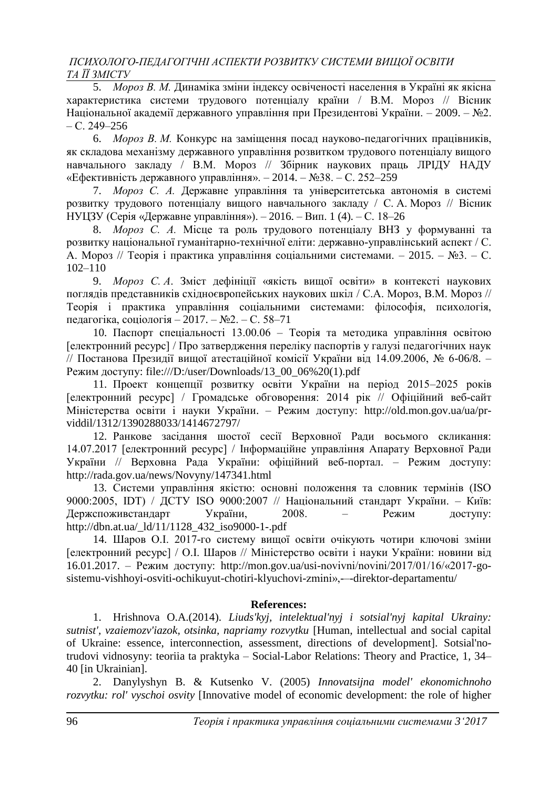5. *Мороз В. М.* Динаміка зміни індексу освіченості населення в Україні як якісна характеристика системи трудового потенціалу країни / В.М. Мороз // Вісник Національної академії державного управління при Президентові України. – 2009. – №2. – С. 249–256

6. *Мороз В. М.* Конкурс на заміщення посад науково-педагогічних працівників, як складова механізму державного управління розвитком трудового потенціалу вищого навчального закладу / В.М. Мороз // Збірник наукових праць ЛРІДУ НАДУ «Ефективність державного управління». – 2014. – №38. – С. 252–259

7. *Мороз С. А.* Державне управління та університетська автономія в системі розвитку трудового потенціалу вищого навчального закладу / С. А. Мороз // Вісник НУЦЗУ (Серія «Державне управління»). – 2016. – Вип. 1 (4). – С. 18–26

8. *Мороз С. А.* Місце та роль трудового потенціалу ВНЗ у формуванні та розвитку національної гуманітарно-технічної еліти: державно-управлінський аспект / С. А. Мороз // Теорія і практика управління соціальними системами. – 2015. – №3. – С. 102–110

9. *Мороз С. А*. Зміст дефініції «якість вищої освіти» в контексті наукових поглядів представників східноєвропейських наукових шкіл / С.А. Мороз, В.М. Мороз // Теорія і практика управління соціальними системами: філософія, психологія, педагогіка, соціологія – 2017. – №2. – С. 58–71

10. Паспорт спеціальності 13.00.06 – Теорія та методика управління освітою [електронний ресурс] / Про затвердження переліку паспортів у галузі педагогічних наук // Постанова Президії вищої атестаційної комісії України від 14.09.2006, № 6-06/8. – Режим доступу: [file:///D:/user/Downloads/13\\_00\\_06%20\(1\).pdf](file:///D:/user/Downloads/13_00_06%20(1).pdf)

11. Проект концепції розвитку освіти України на період 2015–2025 років [електронний ресурс] / Громадське обговорення: 2014 рік // Офіційний веб-сайт Міністерства освіти і науки України. – Режим доступу: [http://old.mon.gov.ua/ua/pr](http://old.mon.gov.ua/ua/pr-viddil/1312/1390288033/1414672797/)[viddil/1312/1390288033/1414672797/](http://old.mon.gov.ua/ua/pr-viddil/1312/1390288033/1414672797/)

12. Ранкове засідання шостої сесії Верховної Ради восьмого скликання: 14.07.2017 [електронний ресурс] / Інформаційне управління Апарату Верховної Ради України // Верховна Рада України: офіційний веб-портал. – Режим доступу: <http://rada.gov.ua/news/Novyny/147341.html>

13. Системи управління якістю: основні положення та словник термінів (ISO 9000:2005, IDT) / ДСТУ ISO 9000:2007 // Національний стандарт України. – Київ: Держспоживстандарт України, 2008. – Режим доступу: [http://dbn.at.ua/\\_ld/11/1128\\_432\\_iso9000-1-.pdf](http://dbn.at.ua/_ld/11/1128_432_iso9000-1-.pdf)

14. Шаров О.І. 2017-го систему вищої освіти очікують чотири ключові зміни [електронний ресурс] / О.І. Шаров // Міністерство освіти і науки України: новини від 16.01.2017. – Режим доступу: [http://mon.gov.ua/usi-novivni/novini/2017/01/16/«2017-go](http://mon.gov.ua/usi-novivni/novini/2017/01/16/)[sistemu-vishhoyi-osviti-ochikuyut-chotiri-klyuchovi-zmini»,-–-direktor-departamentu/](http://mon.gov.ua/usi-novivni/novini/2017/01/16/)

#### **References:**

1. Hrishnova O.A.(2014). *Liuds'kyj, intelektual'nyj i sotsial'nyj kapital Ukrainy: sutnist', vzaiemozv'iazok, otsinka, napriamy rozvytku* [Human, intellectual and social capital of Ukraine: essence, interconnection, assessment, directions of development]. Sotsial'notrudovi vidnosyny: teoriia ta praktyka – Social-Labor Relations: Theory and Practice, 1, 34– 40 [in Ukrainian].

2. Danylyshyn B. & Kutsenko V. (2005) *Innovatsijna model' ekonomichnoho rozvytku: rol' vyschoi osvity* [Innovative model of economic development: the role of higher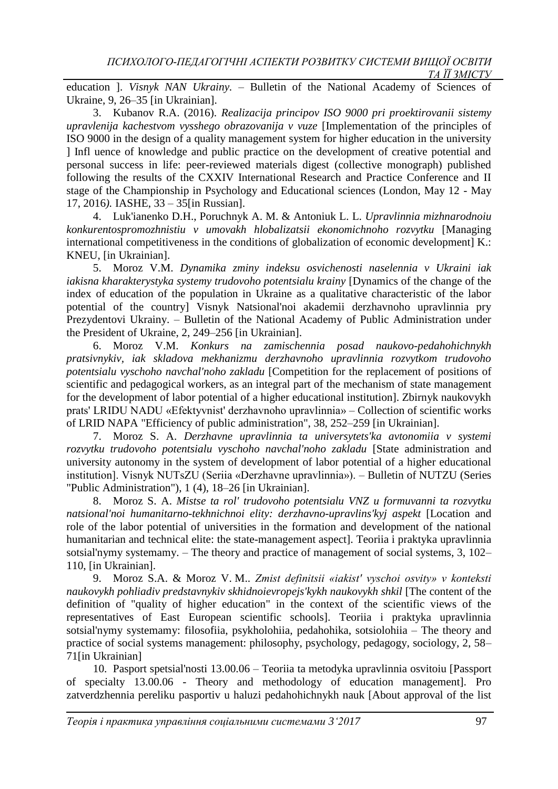education ]. *Visnyk NAN Ukrainy. –* Bulletin of the National Academy of Sciences of Ukraine, 9, 26–35 [in Ukrainian].

3. Kubanov R.A. (2016). *Realizacija principov ISO 9000 pri proektirovanii sistemy upravlenija kachestvom vysshego obrazovanija v vuze* [Implementation of the principles of ISO 9000 in the design of a quality management system for higher education in the university ] Infl uence of knowledge and public practice on the development of creative potential and personal success in life: peer-reviewed materials digest (collective monograph) published following the results of the CXXIV International Research and Practice Conference and II stage of the Championship in Psychology and Educational sciences (London, May 12 - May 17, 2016*).* IASHE, 33 – 35[in Russian].

4. Luk'ianenko D.H., Poruchnyk A. M. & Antoniuk L. L. *Upravlinnia mizhnarodnoiu konkurentospromozhnistiu v umovakh hlobalizatsii ekonomichnoho rozvytku* [Managing international competitiveness in the conditions of globalization of economic development] K.: KNEU, [in Ukrainian].

5. Moroz V.M. *Dynamika zminy indeksu osvichenosti naselennia v Ukraini iak iakisna kharakterystyka systemy trudovoho potentsialu krainy* [Dynamics of the change of the index of education of the population in Ukraine as a qualitative characteristic of the labor potential of the country] Visnyk Natsional'noi akademii derzhavnoho upravlinnia pry Prezydentovi Ukrainy. – Bulletin of the National Academy of Public Administration under the President of Ukraine, 2, 249–256 [in Ukrainian].

6. Moroz V.M. *Konkurs na zamischennia posad naukovo-pedahohichnykh pratsivnykiv, iak skladova mekhanizmu derzhavnoho upravlinnia rozvytkom trudovoho potentsialu vyschoho navchal'noho zakladu* [Competition for the replacement of positions of scientific and pedagogical workers, as an integral part of the mechanism of state management for the development of labor potential of a higher educational institution]. Zbirnyk naukovykh prats' LRIDU NADU «Efektyvnist' derzhavnoho upravlinnia» – Collection of scientific works of LRID NAPA "Efficiency of public administration", 38, 252–259 [in Ukrainian].

7. Moroz S. A. *Derzhavne upravlinnia ta universytets'ka avtonomiia v systemi rozvytku trudovoho potentsialu vyschoho navchal'noho zakladu* [State administration and university autonomy in the system of development of labor potential of a higher educational institution]. Visnyk NUTsZU (Seriia «Derzhavne upravlinnia»). – Bulletin of NUTZU (Series "Public Administration"), 1 (4), 18–26 [in Ukrainian].

8. Moroz S. A. *Mistse ta rol' trudovoho potentsialu VNZ u formuvanni ta rozvytku natsional'noi humanitarno-tekhnichnoi elity: derzhavno-upravlins'kyj aspekt* [Location and role of the labor potential of universities in the formation and development of the national humanitarian and technical elite: the state-management aspect]. Teoriia i praktyka upravlinnia sotsial'nymy systemamy. – The theory and practice of management of social systems, 3, 102– 110, [in Ukrainian].

9. Moroz S.A. & Moroz V. M.. *Zmist definitsii «iakist' vyschoi osvity» v konteksti naukovykh pohliadiv predstavnykiv skhidnoievropejs'kykh naukovykh shkil* [The content of the definition of "quality of higher education" in the context of the scientific views of the representatives of East European scientific schools]. Teoriia i praktyka upravlinnia sotsial'nymy systemamy: filosofiia, psykholohiia, pedahohika, sotsiolohiia – The theory and practice of social systems management: philosophy, psychology, pedagogy, sociology, 2, 58– 71[in Ukrainian]

10. Pasport spetsial'nosti 13.00.06 – Teoriia ta metodyka upravlinnia osvitoiu [Passport of specialty 13.00.06 - Theory and methodology of education management]. Pro zatverdzhennia pereliku pasportiv u haluzi pedahohichnykh nauk [About approval of the list